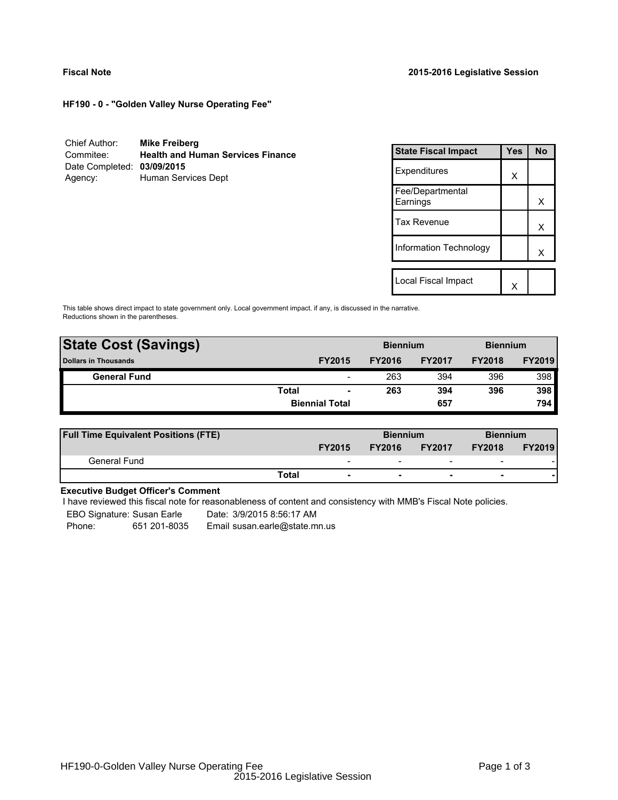**HF190 - 0 - "Golden Valley Nurse Operating Fee"**

| Chief Author:              | <b>Mike Freiberg</b>                     |
|----------------------------|------------------------------------------|
| Commitee:                  | <b>Health and Human Services Finance</b> |
| Date Completed: 03/09/2015 |                                          |
| Agency:                    | Human Services Dept                      |

| <b>State Fiscal Impact</b>   | Yes | N٥ |
|------------------------------|-----|----|
| Expenditures                 | X   |    |
| Fee/Departmental<br>Earnings |     | x  |
| <b>Tax Revenue</b>           |     | x  |
| Information Technology       |     | x  |
| Local Fiscal Impact          |     |    |

This table shows direct impact to state government only. Local government impact. if any, is discussed in the narrative. Reductions shown in the parentheses.

| <b>State Cost (Savings)</b> |              |                          | <b>Biennium</b> |               | <b>Biennium</b> |               |
|-----------------------------|--------------|--------------------------|-----------------|---------------|-----------------|---------------|
| <b>Dollars in Thousands</b> |              | <b>FY2015</b>            | <b>FY2016</b>   | <b>FY2017</b> | <b>FY2018</b>   | <b>FY2019</b> |
| <b>General Fund</b>         |              | $\overline{\phantom{a}}$ | 263             | 394           | 396             | 398           |
|                             | <b>Total</b> | $\blacksquare$           | 263             | 394           | 396             | 398           |
|                             |              | <b>Biennial Total</b>    |                 | 657           |                 | 794           |
|                             |              |                          |                 |               |                 |               |

| <b>Full Time Equivalent Positions (FTE)</b> |                          | <b>Biennium</b> |                          | <b>Biennium</b>          |               |
|---------------------------------------------|--------------------------|-----------------|--------------------------|--------------------------|---------------|
|                                             | <b>FY2015</b>            | <b>FY2016</b>   | <b>FY2017</b>            | <b>FY2018</b>            | <b>FY2019</b> |
| General Fund                                | $\overline{\phantom{0}}$ | -               | $\overline{\phantom{0}}$ | $\overline{\phantom{0}}$ |               |
|                                             | Total                    |                 |                          | -                        |               |

# **Executive Budget Officer's Comment**

I have reviewed this fiscal note for reasonableness of content and consistency with MMB's Fiscal Note policies.

EBO Signature: Susan Earle Date: 3/9/2015 8:56:17 AM

Phone: 651 201-8035 Email susan.earle@state.mn.us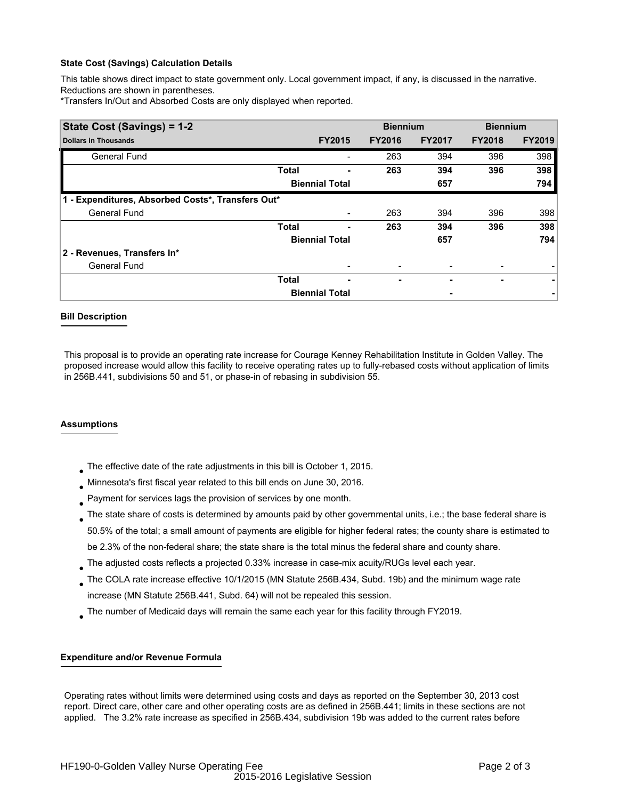### **State Cost (Savings) Calculation Details**

This table shows direct impact to state government only. Local government impact, if any, is discussed in the narrative. Reductions are shown in parentheses.

\*Transfers In/Out and Absorbed Costs are only displayed when reported.

| State Cost (Savings) = 1-2                        |                       |                       |               | <b>Biennium</b> | <b>Biennium</b> |               |
|---------------------------------------------------|-----------------------|-----------------------|---------------|-----------------|-----------------|---------------|
| <b>Dollars in Thousands</b>                       |                       | <b>FY2015</b>         | <b>FY2016</b> | <b>FY2017</b>   | <b>FY2018</b>   | <b>FY2019</b> |
| <b>General Fund</b>                               |                       |                       | 263           | 394             | 396             | 398           |
|                                                   | <b>Total</b>          |                       | 263           | 394             | 396             | 398           |
|                                                   |                       | <b>Biennial Total</b> |               | 657             |                 | 794           |
| 1 - Expenditures, Absorbed Costs*, Transfers Out* |                       |                       |               |                 |                 |               |
| <b>General Fund</b>                               |                       |                       | 263           | 394             | 396             | 398           |
|                                                   | <b>Total</b>          |                       | 263           | 394             | 396             | 398           |
|                                                   | <b>Biennial Total</b> |                       |               | 657             |                 | 794           |
| 2 - Revenues, Transfers In*                       |                       |                       |               |                 |                 |               |
| <b>General Fund</b>                               |                       |                       |               |                 |                 |               |
|                                                   | <b>Total</b>          | ٠                     | ۰             |                 | ۰               | ۰             |
|                                                   |                       | <b>Biennial Total</b> |               |                 |                 |               |

## **Bill Description**

This proposal is to provide an operating rate increase for Courage Kenney Rehabilitation Institute in Golden Valley. The proposed increase would allow this facility to receive operating rates up to fully-rebased costs without application of limits in 256B.441, subdivisions 50 and 51, or phase-in of rebasing in subdivision 55.

### **Assumptions**

- The effective date of the rate adjustments in this bill is October 1, 2015. ●
- Minnesota's first fiscal year related to this bill ends on June 30, 2016. ●
- Payment for services lags the provision of services by one month. ●
- $_{\bullet}$  The state share of costs is determined by amounts paid by other governmental units, i.e.; the base federal share is 50.5% of the total; a small amount of payments are eligible for higher federal rates; the county share is estimated to be 2.3% of the non-federal share; the state share is the total minus the federal share and county share.
- $_{\bullet}$  The adjusted costs reflects a projected 0.33% increase in case-mix acuity/RUGs level each year.
- The COLA rate increase effective 10/1/2015 (MN Statute 256B.434, Subd. 19b) and the minimum wage rate increase (MN Statute 256B.441, Subd. 64) will not be repealed this session. ●
- The number of Medicaid days will remain the same each year for this facility through FY2019. ●

### **Expenditure and/or Revenue Formula**

 Operating rates without limits were determined using costs and days as reported on the September 30, 2013 cost report. Direct care, other care and other operating costs are as defined in 256B.441; limits in these sections are not applied. The 3.2% rate increase as specified in 256B.434, subdivision 19b was added to the current rates before